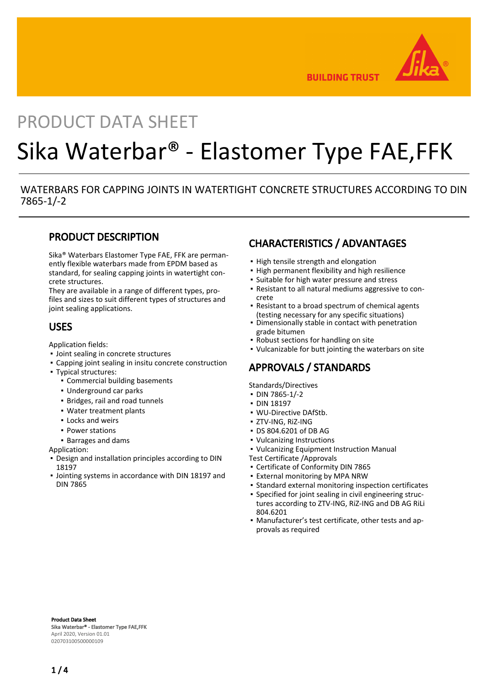

**BUILDING TRUST** 

# PRODUCT DATA SHEET

# Sika Waterbar® - Elastomer Type FAE,FFK

#### WATERBARS FOR CAPPING JOINTS IN WATERTIGHT CONCRETE STRUCTURES ACCORDING TO DIN 7865-1/-2

#### PRODUCT DESCRIPTION

Sika® Waterbars Elastomer Type FAE, FFK are permanently flexible waterbars made from EPDM based as standard, for sealing capping joints in watertight concrete structures.

They are available in a range of different types, profiles and sizes to suit different types of structures and joint sealing applications.

#### USES

Application fields:

- Joint sealing in concrete structures
- Capping joint sealing in insitu concrete construction
- Typical structures:
	- Commercial building basements
	- Underground car parks
	- Bridges, rail and road tunnels
	- Water treatment plants
	- Locks and weirs
	- Power stations
	- Barrages and dams

Application:

- **Design and installation principles according to DIN** 18197
- **.** Jointing systems in accordance with DIN 18197 and DIN 7865

## CHARACTERISTICS / ADVANTAGES

- **.** High tensile strength and elongation
- **.** High permanent flexibility and high resilience
- Suitable for high water pressure and stress
- Resistant to all natural mediums aggressive to con-▪ crete
- Resistant to a broad spectrum of chemical agents (testing necessary for any specific situations)
- Dimensionally stable in contact with penetration grade bitumen
- Robust sections for handling on site
- Vulcanizable for butt jointing the waterbars on site

## APPROVALS / STANDARDS

Standards/Directives

- DIN 7865-1/-2
- DIN 18197
- WU-Directive DAfStb.
- ZTV-ING, RiZ-ING
- DS 804.6201 of DB AG
- Vulcanizing Instructions
- Vulcanizing Equipment Instruction Manual

Test Certificate /Approvals

- Certificate of Conformity DIN 7865
- **External monitoring by MPA NRW**
- Standard external monitoring inspection certificates
- Specified for joint sealing in civil engineering structures according to ZTV-ING, RiZ-ING and DB AG RiLi 804.6201
- Manufacturer's test certificate, other tests and ap-▪ provals as required

Product Data Sheet Sika Waterbar® - Elastomer Type FAE,FFK April 2020, Version 01.01 020703100500000109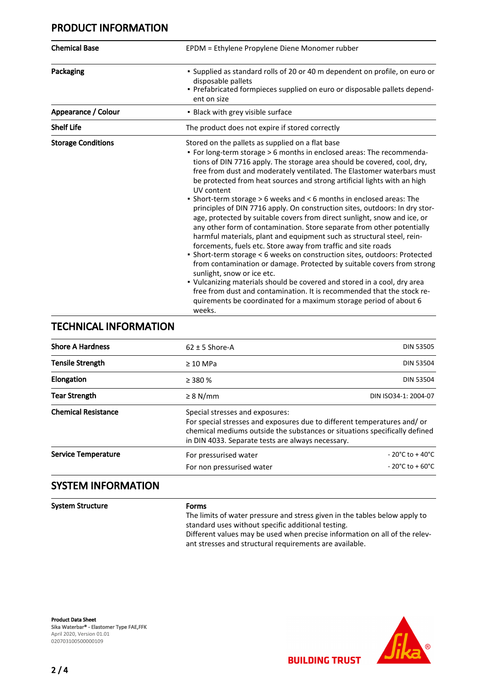#### PRODUCT INFORMATION

| <b>Chemical Base</b>      | EPDM = Ethylene Propylene Diene Monomer rubber<br>• Supplied as standard rolls of 20 or 40 m dependent on profile, on euro or<br>disposable pallets<br>- Prefabricated formpieces supplied on euro or disposable pallets depend-<br>ent on size                                                                                                                                                                                                                                                                                                                                                                                                                                                                                                                                                                                                                                                                                                                                                                                                                                                                                                                                                                                                            |  |  |  |
|---------------------------|------------------------------------------------------------------------------------------------------------------------------------------------------------------------------------------------------------------------------------------------------------------------------------------------------------------------------------------------------------------------------------------------------------------------------------------------------------------------------------------------------------------------------------------------------------------------------------------------------------------------------------------------------------------------------------------------------------------------------------------------------------------------------------------------------------------------------------------------------------------------------------------------------------------------------------------------------------------------------------------------------------------------------------------------------------------------------------------------------------------------------------------------------------------------------------------------------------------------------------------------------------|--|--|--|
| Packaging                 |                                                                                                                                                                                                                                                                                                                                                                                                                                                                                                                                                                                                                                                                                                                                                                                                                                                                                                                                                                                                                                                                                                                                                                                                                                                            |  |  |  |
| Appearance / Colour       | • Black with grey visible surface                                                                                                                                                                                                                                                                                                                                                                                                                                                                                                                                                                                                                                                                                                                                                                                                                                                                                                                                                                                                                                                                                                                                                                                                                          |  |  |  |
| <b>Shelf Life</b>         | The product does not expire if stored correctly                                                                                                                                                                                                                                                                                                                                                                                                                                                                                                                                                                                                                                                                                                                                                                                                                                                                                                                                                                                                                                                                                                                                                                                                            |  |  |  |
| <b>Storage Conditions</b> | Stored on the pallets as supplied on a flat base<br>• For long-term storage > 6 months in enclosed areas: The recommenda-<br>tions of DIN 7716 apply. The storage area should be covered, cool, dry,<br>free from dust and moderately ventilated. The Elastomer waterbars must<br>be protected from heat sources and strong artificial lights with an high<br>UV content<br>• Short-term storage > 6 weeks and < 6 months in enclosed areas: The<br>principles of DIN 7716 apply. On construction sites, outdoors: In dry stor-<br>age, protected by suitable covers from direct sunlight, snow and ice, or<br>any other form of contamination. Store separate from other potentially<br>harmful materials, plant and equipment such as structural steel, rein-<br>forcements, fuels etc. Store away from traffic and site roads<br>• Short-term storage < 6 weeks on construction sites, outdoors: Protected<br>from contamination or damage. Protected by suitable covers from strong<br>sunlight, snow or ice etc.<br>• Vulcanizing materials should be covered and stored in a cool, dry area<br>free from dust and contamination. It is recommended that the stock re-<br>quirements be coordinated for a maximum storage period of about 6<br>weeks. |  |  |  |

#### TECHNICAL INFORMATION

| <b>Shore A Hardness</b>    | $62 \pm 5$ Shore-A                                 | <b>DIN 53505</b>                                                                                                                                                                                           |  |  |
|----------------------------|----------------------------------------------------|------------------------------------------------------------------------------------------------------------------------------------------------------------------------------------------------------------|--|--|
| <b>Tensile Strength</b>    | $\geq 10$ MPa                                      | <b>DIN 53504</b>                                                                                                                                                                                           |  |  |
| <b>Elongation</b>          | $\geq$ 380 %                                       | <b>DIN 53504</b>                                                                                                                                                                                           |  |  |
| <b>Tear Strength</b>       | $\geq$ 8 N/mm                                      | DIN ISO34-1: 2004-07                                                                                                                                                                                       |  |  |
| <b>Chemical Resistance</b> | Special stresses and exposures:                    | For special stresses and exposures due to different temperatures and/or<br>chemical mediums outside the substances or situations specifically defined<br>in DIN 4033. Separate tests are always necessary. |  |  |
| <b>Service Temperature</b> | For pressurised water<br>For non pressurised water | $-20^{\circ}$ C to $+40^{\circ}$ C<br>$-20^{\circ}$ C to + 60 $^{\circ}$ C                                                                                                                                 |  |  |
|                            |                                                    |                                                                                                                                                                                                            |  |  |

### SYSTEM INFORMATION

System Structure Forms

The limits of water pressure and stress given in the tables below apply to standard uses without specific additional testing. Different values may be used when precise information on all of the relevant stresses and structural requirements are available.

Product Data Sheet Sika Waterbar® - Elastomer Type FAE,FFK April 2020, Version 01.01 020703100500000109

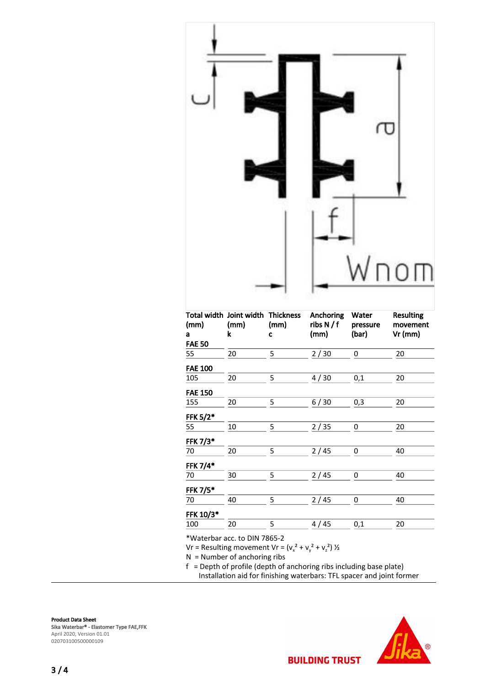

| (mm)<br>a<br><b>FAE 50</b> | Total width Joint width Thickness<br>(mm)<br>k | (mm)<br>C | Anchoring<br>ribs N/f<br>(mm) | Water<br>pressure<br>(bar) | <b>Resulting</b><br>movement<br>Vr (mm) |
|----------------------------|------------------------------------------------|-----------|-------------------------------|----------------------------|-----------------------------------------|
| 55                         | 20                                             | 5         | 2/30                          | 0                          | 20                                      |
| <b>FAE 100</b>             |                                                |           |                               |                            |                                         |
| 105                        | 20                                             | 5         | 4/30                          | 0,1                        | 20                                      |
| <b>FAE 150</b>             |                                                |           |                               |                            |                                         |
| 155                        | 20                                             | 5         | 6/30                          | 0,3                        | 20                                      |
| FFK 5/2*                   |                                                |           |                               |                            |                                         |
| 55                         | 10                                             | 5         | 2/35                          | 0                          | 20                                      |
| FFK 7/3*                   |                                                |           |                               |                            |                                         |
| 70                         | 20                                             | 5         | 2/45                          | 0                          | 40                                      |
| FFK 7/4*                   |                                                |           |                               |                            |                                         |
| 70                         | 30                                             | 5         | 2/45                          | 0                          | 40                                      |
| FFK 7/5*                   |                                                |           |                               |                            |                                         |
| 70                         | 40                                             | 5         | 2/45                          | 0                          | 40                                      |
| FFK 10/3*                  |                                                |           |                               |                            |                                         |
| 100                        | 20                                             | 5         | 45<br>4/                      | 0,1                        | 20                                      |

\*Waterbar acc. to DIN 7865-2

Vr = Resulting movement Vr =  $(v_x^2 + v_y^2 + v_z^2)$  ½

N = Number of anchoring ribs

f = Depth of profile (depth of anchoring ribs including base plate)

Installation aid for finishing waterbars: TFL spacer and joint former

Product Data Sheet Sika Waterbar® - Elastomer Type FAE,FFK April 2020, Version 01.01 020703100500000109